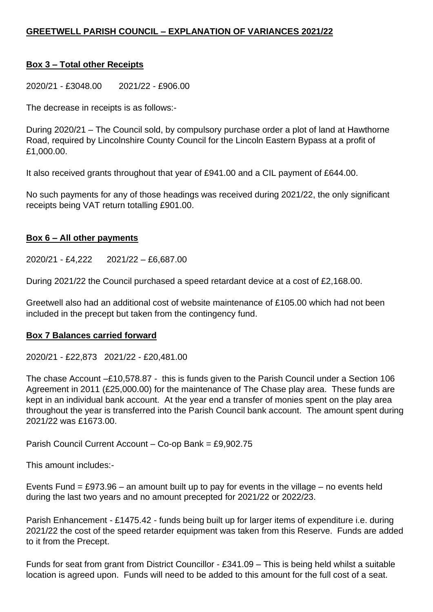## **Box 3 – Total other Receipts**

2020/21 - £3048.00 2021/22 - £906.00

The decrease in receipts is as follows:-

During 2020/21 – The Council sold, by compulsory purchase order a plot of land at Hawthorne Road, required by Lincolnshire County Council for the Lincoln Eastern Bypass at a profit of £1,000.00.

It also received grants throughout that year of £941.00 and a CIL payment of £644.00.

No such payments for any of those headings was received during 2021/22, the only significant receipts being VAT return totalling £901.00.

## **Box 6 – All other payments**

2020/21 - £4,222 2021/22 – £6,687.00

During 2021/22 the Council purchased a speed retardant device at a cost of £2,168.00.

Greetwell also had an additional cost of website maintenance of £105.00 which had not been included in the precept but taken from the contingency fund.

## **Box 7 Balances carried forward**

2020/21 - £22,873 2021/22 - £20,481.00

The chase Account –£10,578.87 - this is funds given to the Parish Council under a Section 106 Agreement in 2011 (£25,000.00) for the maintenance of The Chase play area. These funds are kept in an individual bank account. At the year end a transfer of monies spent on the play area throughout the year is transferred into the Parish Council bank account. The amount spent during 2021/22 was £1673.00.

Parish Council Current Account – Co-op Bank = £9,902.75

This amount includes:-

Events Fund =  $£973.96 -$  an amount built up to pay for events in the village – no events held during the last two years and no amount precepted for 2021/22 or 2022/23.

Parish Enhancement - £1475.42 - funds being built up for larger items of expenditure i.e. during 2021/22 the cost of the speed retarder equipment was taken from this Reserve. Funds are added to it from the Precept.

Funds for seat from grant from District Councillor - £341.09 – This is being held whilst a suitable location is agreed upon. Funds will need to be added to this amount for the full cost of a seat.